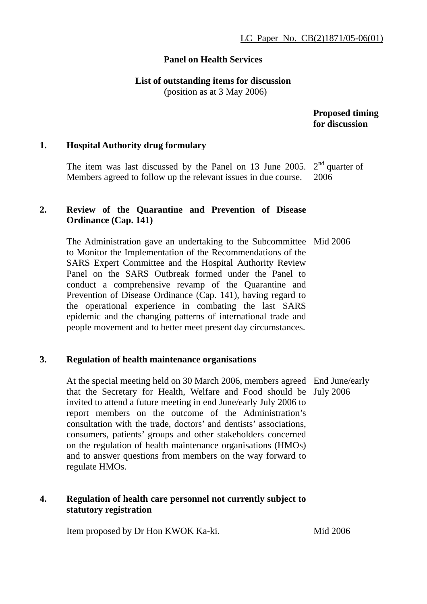## **Panel on Health Services**

## **List of outstanding items for discussion**

(position as at 3 May 2006)

## **Proposed timing for discussion**

## **1. Hospital Authority drug formulary**

The item was last discussed by the Panel on 13 June 2005.  $2<sup>nd</sup>$  quarter of Members agreed to follow up the relevant issues in due course. 2006

# **2. Review of the Quarantine and Prevention of Disease Ordinance (Cap. 141)**

The Administration gave an undertaking to the Subcommittee Mid 2006 to Monitor the Implementation of the Recommendations of the SARS Expert Committee and the Hospital Authority Review Panel on the SARS Outbreak formed under the Panel to conduct a comprehensive revamp of the Quarantine and Prevention of Disease Ordinance (Cap. 141), having regard to the operational experience in combating the last SARS epidemic and the changing patterns of international trade and people movement and to better meet present day circumstances.

## **3. Regulation of health maintenance organisations**

At the special meeting held on 30 March 2006, members agreed End June/early that the Secretary for Health, Welfare and Food should be July 2006 invited to attend a future meeting in end June/early July 2006 to report members on the outcome of the Administration's consultation with the trade, doctors' and dentists' associations, consumers, patients' groups and other stakeholders concerned on the regulation of health maintenance organisations (HMOs) and to answer questions from members on the way forward to regulate HMOs.

# **4. Regulation of health care personnel not currently subject to statutory registration**

Item proposed by Dr Hon KWOK Ka-ki.

Mid 2006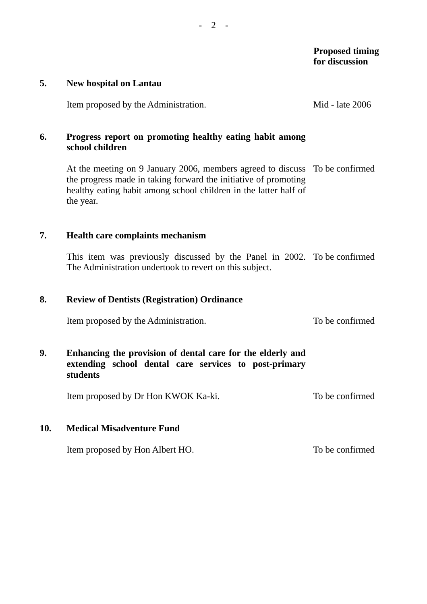#### **5. New hospital on Lantau**

Item proposed by the Administration. Mid - late 2006

# **6. Progress report on promoting healthy eating habit among school children**

At the meeting on 9 January 2006, members agreed to discuss To be confirmed the progress made in taking forward the initiative of promoting healthy eating habit among school children in the latter half of the year.

### **7. Health care complaints mechanism**

This item was previously discussed by the Panel in 2002. To be confirmed The Administration undertook to revert on this subject.

## **8. Review of Dentists (Registration) Ordinance**

Item proposed by the Administration. To be confirmed

# **9. Enhancing the provision of dental care for the elderly and extending school dental care services to post-primary students**

Item proposed by Dr Hon KWOK Ka-ki. To be confirmed

### **10. Medical Misadventure Fund**

Item proposed by Hon Albert HO. To be confirmed

- 2 -